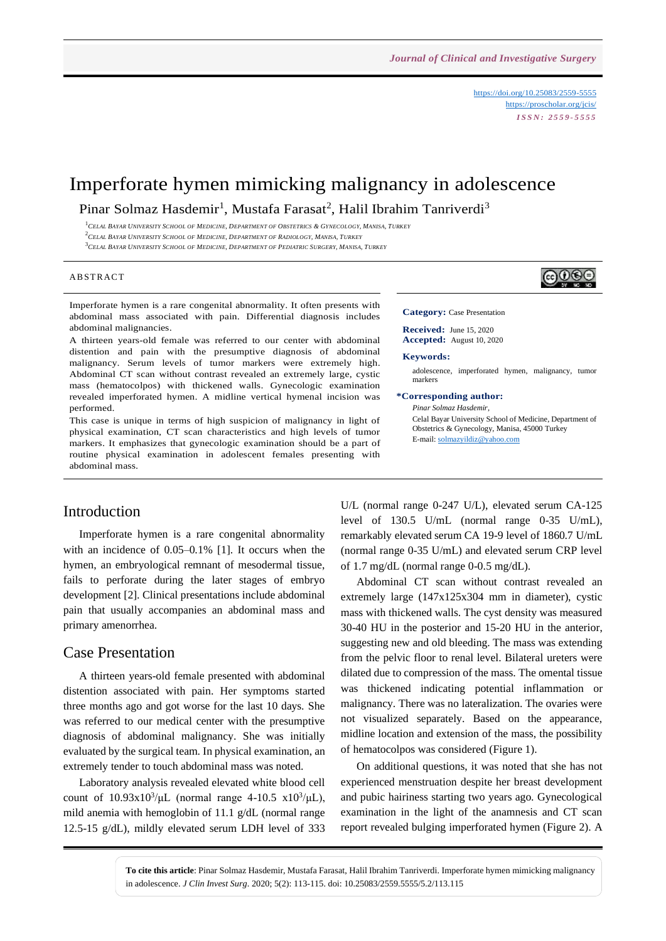<https://doi.org/10.25083/2559-5555> <https://proscholar.org/jcis/> *I S S N : 2 5 5 9 - 5 5 5 5*

# Imperforate hymen mimicking malignancy in adolescence

Pinar Solmaz Hasdemir<sup>1</sup>, Mustafa Farasat<sup>2</sup>, Halil Ibrahim Tanriverdi<sup>3</sup>

<sup>1</sup>CELAL BAYAR UNIVERSITY SCHOOL OF MEDICINE, DEPARTMENT OF OBSTETRICS & GYNECOLOGY, MANISA, TURKEY

 $^2C$ ELAL BAYAR UNIVERSITY SCHOOL OF MEDICINE, DEPARTMENT OF RADIOLOGY, MANISA, TURKEY

<sup>3</sup>CELAL BAYAR UNIVERSITY SCHOOL OF MEDICINE, DEPARTMENT OF PEDIATRIC SURGERY, MANISA, TURKEY

#### **ABSTRACT**

Imperforate hymen is a rare congenital abnormality. It often presents with abdominal mass associated with pain. Differential diagnosis includes abdominal malignancies.

A thirteen years-old female was referred to our center with abdominal distention and pain with the presumptive diagnosis of abdominal malignancy. Serum levels of tumor markers were extremely high. Abdominal CT scan without contrast revealed an extremely large, cystic mass (hematocolpos) with thickened walls. Gynecologic examination revealed imperforated hymen. A midline vertical hymenal incision was performed.

This case is unique in terms of high suspicion of malignancy in light of physical examination, CT scan characteristics and high levels of tumor markers. It emphasizes that gynecologic examination should be a part of routine physical examination in adolescent females presenting with abdominal mass.

### Introduction

Imperforate hymen is a rare congenital abnormality with an incidence of 0.05–0.1% [1]. It occurs when the hymen, an embryological remnant of mesodermal tissue, fails to perforate during the later stages of embryo development [2]. Clinical presentations include abdominal pain that usually accompanies an abdominal mass and primary amenorrhea.

### Case Presentation

A thirteen years-old female presented with abdominal distention associated with pain. Her symptoms started three months ago and got worse for the last 10 days. She was referred to our medical center with the presumptive diagnosis of abdominal malignancy. She was initially evaluated by the surgical team. In physical examination, an extremely tender to touch abdominal mass was noted.

Laboratory analysis revealed elevated white blood cell count of  $10.93x10^{3}/\mu L$  (normal range 4-10.5  $x10^{3}/\mu L$ ), mild anemia with hemoglobin of 11.1 g/dL (normal range 12.5-15 g/dL), mildly elevated serum LDH level of 333

U/L (normal range 0-247 U/L), elevated serum CA-125 level of 130.5 U/mL (normal range 0-35 U/mL), remarkably elevated serum CA 19-9 level of 1860.7 U/mL (normal range 0-35 U/mL) and elevated serum CRP level of 1.7 mg/dL (normal range 0-0.5 mg/dL).

Abdominal CT scan without contrast revealed an extremely large (147x125x304 mm in diameter), cystic mass with thickened walls. The cyst density was measured 30-40 HU in the posterior and 15-20 HU in the anterior, suggesting new and old bleeding. The mass was extending from the pelvic floor to renal level. Bilateral ureters were dilated due to compression of the mass. The omental tissue was thickened indicating potential inflammation or malignancy. There was no lateralization. The ovaries were not visualized separately. Based on the appearance, midline location and extension of the mass, the possibility of hematocolpos was considered (Figure 1).

On additional questions, it was noted that she has not experienced menstruation despite her breast development and pubic hairiness starting two years ago. Gynecological examination in the light of the anamnesis and CT scan report revealed bulging imperforated hymen (Figure 2). A

**To cite this article**: Pinar Solmaz Hasdemir, Mustafa Farasat, Halil Ibrahim Tanriverdi. Imperforate hymen mimicking malignancy in adolescence. *J Clin Invest Surg*. 2020; 5(2): 113-115. doi: 10.25083/2559.5555/5.2/113.115



**Category:** Case Presentation

**Received:** June 15, 2020 **Accepted:** August 10, 2020

**Keywords:** 

adolescence, imperforated hymen, malignancy, tumor markers

#### **\*Corresponding author:**

*Pinar Solmaz Hasdemir*, Celal Bayar University School of Medicine, Department of Obstetrics & Gynecology, Manisa, 45000 Turkey E-mail[: solmazyildiz@yahoo.com](mailto:solmazyildiz@yahoo.com)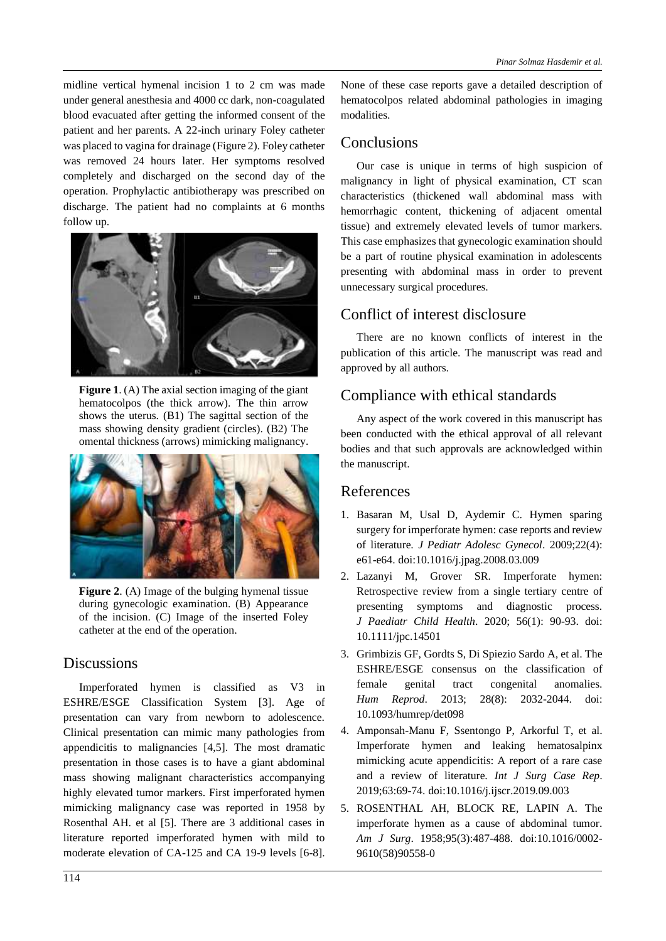midline vertical hymenal incision 1 to 2 cm was made under general anesthesia and 4000 cc dark, non-coagulated blood evacuated after getting the informed consent of the patient and her parents. A 22-inch urinary Foley catheter was placed to vagina for drainage (Figure 2). Foley catheter was removed 24 hours later. Her symptoms resolved completely and discharged on the second day of the operation. Prophylactic antibiotherapy was prescribed on discharge. The patient had no complaints at 6 months follow up.



**Figure 1.** (A) The axial section imaging of the giant hematocolpos (the thick arrow). The thin arrow shows the uterus. (B1) The sagittal section of the mass showing density gradient (circles). (B2) The omental thickness (arrows) mimicking malignancy.



**Figure 2.** (A) Image of the bulging hymenal tissue during gynecologic examination. (B) Appearance of the incision. (C) Image of the inserted Foley catheter at the end of the operation.

## **Discussions**

Imperforated hymen is classified as V3 in ESHRE/ESGE Classification System [3]. Age of presentation can vary from newborn to adolescence. Clinical presentation can mimic many pathologies from appendicitis to malignancies [4,5]. The most dramatic presentation in those cases is to have a giant abdominal mass showing malignant characteristics accompanying highly elevated tumor markers. First imperforated hymen mimicking malignancy case was reported in 1958 by Rosenthal AH. et al [5]. There are 3 additional cases in literature reported imperforated hymen with mild to moderate elevation of CA-125 and CA 19-9 levels [6-8]. None of these case reports gave a detailed description of hematocolpos related abdominal pathologies in imaging modalities.

# **Conclusions**

Our case is unique in terms of high suspicion of malignancy in light of physical examination, CT scan characteristics (thickened wall abdominal mass with hemorrhagic content, thickening of adjacent omental tissue) and extremely elevated levels of tumor markers. This case emphasizes that gynecologic examination should be a part of routine physical examination in adolescents presenting with abdominal mass in order to prevent unnecessary surgical procedures.

# Conflict of interest disclosure

There are no known conflicts of interest in the publication of this article. The manuscript was read and approved by all authors.

# Compliance with ethical standards

Any aspect of the work covered in this manuscript has been conducted with the ethical approval of all relevant bodies and that such approvals are acknowledged within the manuscript.

## References

- 1. Basaran M, Usal D, Aydemir C. Hymen sparing surgery for imperforate hymen: case reports and review of literature. *J Pediatr Adolesc Gynecol*. 2009;22(4): e61-e64. doi:10.1016/j.jpag.2008.03.009
- 2. Lazanyi M, Grover SR. Imperforate hymen: Retrospective review from a single tertiary centre of presenting symptoms and diagnostic process. *J Paediatr Child Health*. 2020; 56(1): 90-93. doi: 10.1111/jpc.14501
- 3. Grimbizis GF, Gordts S, Di Spiezio Sardo A, et al. The ESHRE/ESGE consensus on the classification of female genital tract congenital anomalies. *Hum Reprod*. 2013; 28(8): 2032-2044. doi: 10.1093/humrep/det098
- 4. Amponsah-Manu F, Ssentongo P, Arkorful T, et al. Imperforate hymen and leaking hematosalpinx mimicking acute appendicitis: A report of a rare case and a review of literature. *Int J Surg Case Rep*. 2019;63:69-74. doi:10.1016/j.ijscr.2019.09.003
- 5. ROSENTHAL AH, BLOCK RE, LAPIN A. The imperforate hymen as a cause of abdominal tumor. *Am J Surg*. 1958;95(3):487-488. doi:10.1016/0002- 9610(58)90558-0